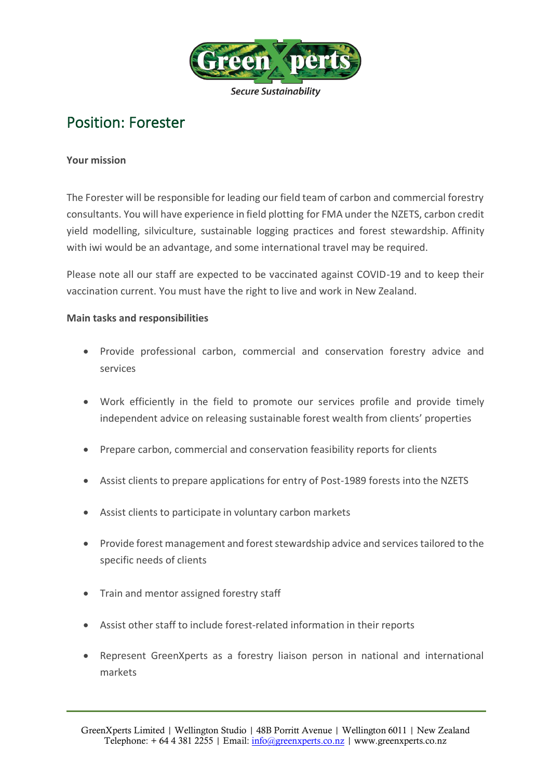

# Position: Forester

## **Your mission**

The Forester will be responsible for leading our field team of carbon and commercial forestry consultants. You will have experience in field plotting for FMA under the NZETS, carbon credit yield modelling, silviculture, sustainable logging practices and forest stewardship. Affinity with iwi would be an advantage, and some international travel may be required.

Please note all our staff are expected to be vaccinated against COVID-19 and to keep their vaccination current. You must have the right to live and work in New Zealand.

## **Main tasks and responsibilities**

- Provide professional carbon, commercial and conservation forestry advice and services
- Work efficiently in the field to promote our services profile and provide timely independent advice on releasing sustainable forest wealth from clients' properties
- Prepare carbon, commercial and conservation feasibility reports for clients
- Assist clients to prepare applications for entry of Post-1989 forests into the NZETS
- Assist clients to participate in voluntary carbon markets
- Provide forest management and forest stewardship advice and services tailored to the specific needs of clients
- Train and mentor assigned forestry staff
- Assist other staff to include forest-related information in their reports
- Represent GreenXperts as a forestry liaison person in national and international markets